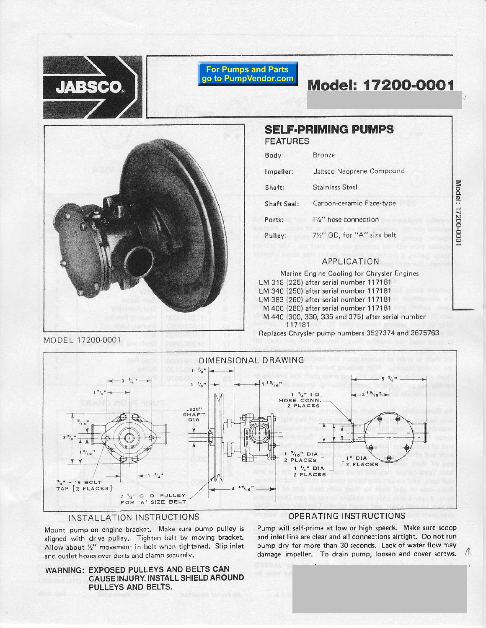

**For Pumps and Parts** go to PumpVendor.com

Model: 17200-0001

Model: 17200-000



|  |  | <b>SELF-PRIMING PUMPS</b> |
|--|--|---------------------------|
|  |  |                           |

**FEATURES** 

| Body:       | Bronze                      |
|-------------|-----------------------------|
| Impeller:   | Jabsco Neoprene Compound    |
| Shaft:      | <b>Stainless Steel</b>      |
| Shaft Seal: | Carbon-ceramic Face-type    |
| Ports:      | 11/4" hose connection       |
| Pulley:     | 71/2" OD, for "A" size belt |

## **APPLICATION**

Marine Engine Cooling for Chrysler Engines LM 318 (225) after serial number 117181 LM 340 (250) after serial number 117181 LM 383 (260) after serial number 117181 M 400 (280) after serial number 117181 M 440 (300, 330, 335 and 375) after serial number 117181 Replaces Chrysler pump numbers 3527374 and 3675763

DIMENSIONAL DRAWING  $\rm \rm \gamma_g$  $\mathbf{1}_{\mathfrak{l}_\mathfrak{B}}$  $\begin{array}{ccccc}\n & & 1 & \frac{1}{4} & 1 & D \\
HOSE & CONN, & & \\
2 & PLACES\n\end{array}$  $1^{15}$  $.625"$ SHAFT<br>DIA " DIA  $\blacksquare$ DIA **PLACES** PLACES ÷.  $1/4$   $DIA$  $\mathbf{I}$ 2 PLACES 16 BOLT TAP [2 PLACES]  $7 \frac{1}{2}$ " O D PULLEY

# INSTALLATION INSTRUCTIONS

Mount pump on engine bracket. Make sure pump pulley is aligned with drive pulley. Tighten belt by moving bracket. Allow about '/2" movement in belt when tightened. Slip inlet and outlet hoses over ports and clamp securely.

FOR 'A' SIZE BELT



## OPERATING INSTRUCTIONS

Pump will self-prime at low or high speeds. Make sure scoop and inlet line are clear and all connections airtight. Do not run pump dry for more than 30 seconds. Lack of water flow may damage impeller. To drain pump, loosen end cover screws.

MODEL 17200-0001